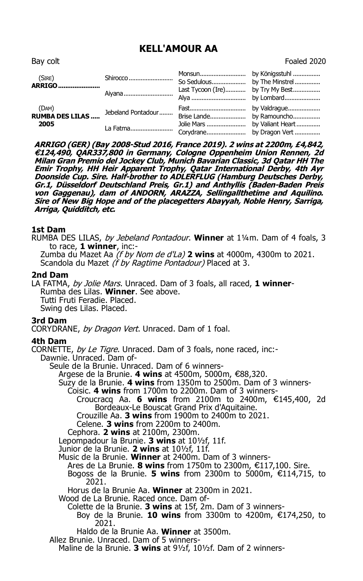# **KELL'AMOUR AA**

(SIRE) ARRIGO....................... (DAM) 2005 Jolie Mars ........................ by Valiant Heart ............... 

ARRIGO (GER) (Bav 2008-Stud 2016, France 2019), 2 wins at 2200m, £4,842, €124,490, QAR337,800 in Germany, Cologne Oppenheim Union Rennen, 2d Milan Gran Premio del Jockey Club, Munich Bavarian Classic, 3d Qatar HH The Emir Trophy, HH Heir Apparent Trophy, Qatar International Derby, 4th Ayr<br>Doonside Cup. Sire. Half-brother to ADLERFLUG (Hamburg Deutsches Derby, Gr.1, Düsseldorf Deutschland Preis, Gr.1) and Anthyllis (Baden-Baden Preis oristy Causeman, Journal of ANDORN, ARAZZA, Sellingallthetime and Aquilino.<br>Sire of New Big Hope and of the placegetters Abayyah, Noble Henry, Sarriga, Arriga, Ouidditch, etc.

# 1st Dam

RUMBA DES LILAS, by Jebeland Pontadour. Winner at 11/4m. Dam of 4 foals, 3 to race, 1 winner. inc:-

Zumba du Mazet Aa (f by Nom de d'La) 2 wins at 4000m, 4300m to 2021. Scandola du Mazet (f by Ragtime Pontadour) Placed at 3.

## 2nd Dam

LA FATMA, by Jolie Mars. Unraced. Dam of 3 foals, all raced, 1 winner-Rumba des Lilas. Winner. See above. Tutti Fruti Feradie, Placed. Swing des Lilas. Placed.

## 3rd Dam

CORYDRANE, by Dragon Vert. Unraced. Dam of 1 foal.

## 4th Dam

CORNETTE, by Le Tigre. Unraced. Dam of 3 foals, none raced, inc:-Dawnie, Unraced, Dam of-Seule de la Brunie. Unraced. Dam of 6 winners-

Argese de la Brunie. 4 wins at 4500m, 5000m, €88,320.

Suzy de la Brunie. 4 wins from 1350m to 2500m. Dam of 3 winners-

Coisic. 4 wins from 1700m to 2200m. Dam of 3 winners-

Croucracq Aa. 6 wins from 2100m to 2400m, €145,400, 2d Bordeaux-Le Bouscat Grand Prix d'Aquitaine.

Crouzille Aa. 3 wins from 1900m to 2400 $m$  to 2021.

Celene. 3 wins from 2200m to 2400m.

Cephora. 2 wins at 2100m, 2300m.

Lepompadour la Brunie. 3 wins at 101/2f, 11f.

Junior de la Brunie. 2 wins at 101/2f, 11f.

Music de la Brunie. Winner at 2400m. Dam of 3 winners-

- Ares de La Brunie. 8 wins from 1750m to 2300m, €117,100. Sire.
- Bogoss de la Brunie. 5 wins from 2300m to 5000m,  $£114,715$ , to 2021.

Horus de la Brunie Aa. Winner at 2300m in 2021.

Wood de La Brunie. Raced once. Dam of-

Colette de la Brunie. 3 wins at 15f, 2m. Dam of 3 winners-Boy de la Brunie. 10 wins from 3300m to 4200m, €174,250, to 2021.

Haldo de la Brunie Aa. Winner at 3500m.

Allez Brunie. Unraced. Dam of 5 winners-

Maline de la Brunie. 3 wins at 91/2f. 101/2f. Dam of 2 winners-

Bay colt

Foaled 2020